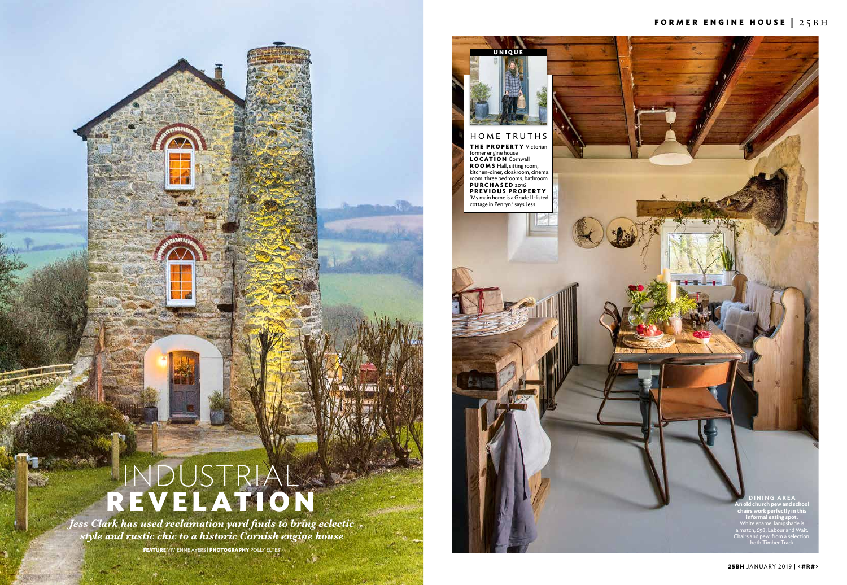



*Jess Clark has used reclamation yard finds to bring eclectic style and rustic chic to a historic Cornish engine house*

**FEATURE** Vivienne Ayers **| PHOTOGRAPHY** Polly Eltes

**25bh** JANUARY 2019 **| <#R#>**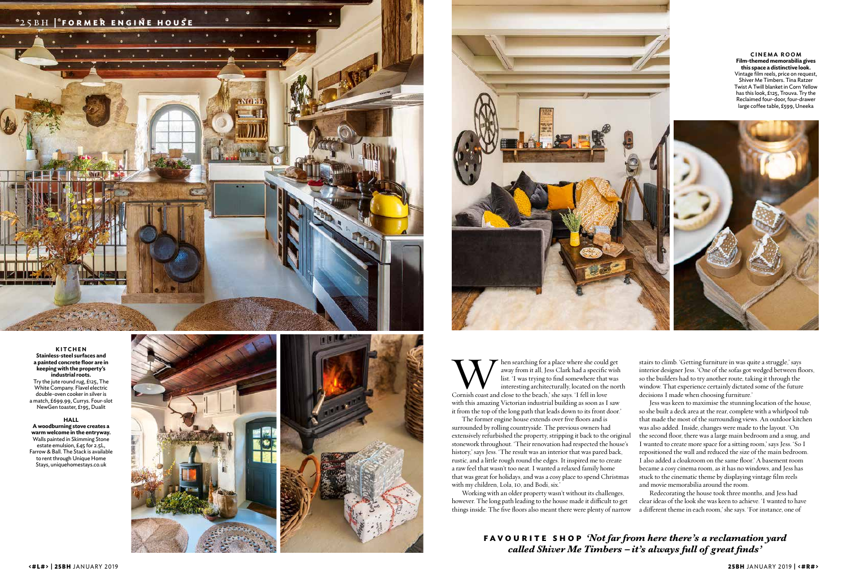

## **KITCHEN Stainless-steel surfaces and a painted concrete floor are in keeping with the property's industrial roots.** Try the jute round rug, £125, The White Company. Flavel electric double-oven cooker in silver is a match, £699.99, Currys. Four-slot NewGen toaster, £195, Dualit

**HALL A woodburning stove creates a warm welcome in the entryway.**  Walls painted in Skimming Stone estate emulsion, £45 for 2.5L, Farrow & Ball. The Stack is available to rent through Unique Home Stays, uniquehomestays.co.uk





When searching for a place where she could get<br>away from it all, Jess Clark had a specific wish<br>list. 'I was trying to find somewhere that was<br>interesting architecturally, located on the nor<br>Cornish coast and close to the away from it all, Jess Clark had a specific wish list. 'I was trying to find somewhere that was interesting architecturally, located on the north Cornish coast and close to the beach,' she says. 'I fell in love with this amazing Victorian industrial building as soon as I saw

it from the top of the long path that leads down to its front door.' The former engine house extends over five floors and is surrounded by rolling countryside. The previous owners had extensively refurbished the property, stripping it back to the original stonework throughout. 'Their renovation had respected the house's history,' says Jess. 'The result was an interior that was pared back, rustic, and a little rough round the edges. It inspired me to create a raw feel that wasn't too neat. I wanted a relaxed family home that was great for holidays, and was a cosy place to spend Christmas with my children, Lola, 10, and Bodi, six.' Jess was keen to maximise the stunning location of the house, so she built a deck area at the rear, complete with a whirlpool tub that made the most of the surrounding views. An outdoor kitchen was also added. Inside, changes were made to the layout. 'On the second floor, there was a large main bedroom and a snug, and I wanted to create more space for a sitting room,' says Jess. 'So I repositioned the wall and reduced the size of the main bedroom. I also added a cloakroom on the same floor.' A basement room became a cosy cinema room, as it has no windows, and Jess has stuck to the cinematic theme by displaying vintage film reels and movie memorabilia around the room.

stairs to climb. 'Getting furniture in was quite a struggle,' says interior designer Jess. 'One of the sofas got wedged between floors, so the builders had to try another route, taking it through the window. That experience certainly dictated some of the future decisions I made when choosing furniture.'

Working with an older property wasn't without its challenges, however. The long path leading to the house made it difficult to get things inside. The five floors also meant there were plenty of narrow Redecorating the house took three months, and Jess had clear ideas of the look she was keen to achieve. 'I wanted to have a different theme in each room,' she says. 'For instance, one of

**CINEMA ROOM Film-themed memorabilia gives this space a distinctive look.**  Vintage film reels, price on request, Shiver Me Timbers. Tina Ratzer Twist A Twill blanket in Corn Yellow has this look, £125, Trouva. Try the Reclaimed four-door, four-drawer large coffee table, £599, Uneeka



**favourite shop** *'Not far from here there's a reclamation yard called Shiver Me Timbers – it's always full of great finds'*